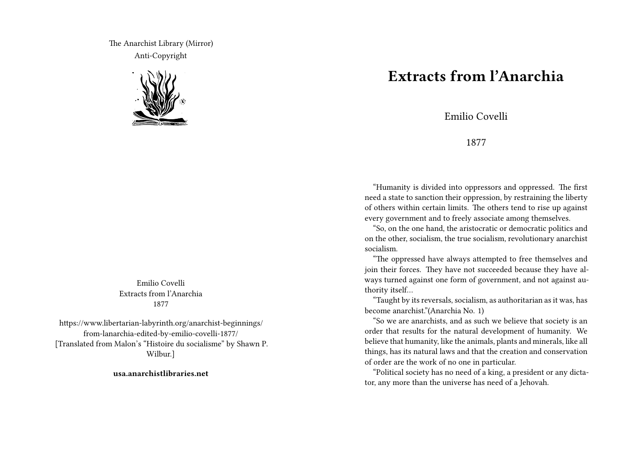The Anarchist Library (Mirror) Anti-Copyright



Emilio Covelli Extracts from l'Anarchia 1877

https://www.libertarian-labyrinth.org/anarchist-beginnings/ from-lanarchia-edited-by-emilio-covelli-1877/ [Translated from Malon's "Histoire du socialisme" by Shawn P. Wilbur.]

**usa.anarchistlibraries.net**

## **Extracts from l'Anarchia**

Emilio Covelli

## 1877

"Humanity is divided into oppressors and oppressed. The first need a state to sanction their oppression, by restraining the liberty of others within certain limits. The others tend to rise up against every government and to freely associate among themselves.

"So, on the one hand, the aristocratic or democratic politics and on the other, socialism, the true socialism, revolutionary anarchist socialism.

"The oppressed have always attempted to free themselves and join their forces. They have not succeeded because they have always turned against one form of government, and not against authority itself…

"Taught by its reversals, socialism, as authoritarian as it was, has become anarchist."(Anarchia No. 1)

"So we are anarchists, and as such we believe that society is an order that results for the natural development of humanity. We believe that humanity, like the animals, plants and minerals, like all things, has its natural laws and that the creation and conservation of order are the work of no one in particular.

"Political society has no need of a king, a president or any dictator, any more than the universe has need of a Jehovah.